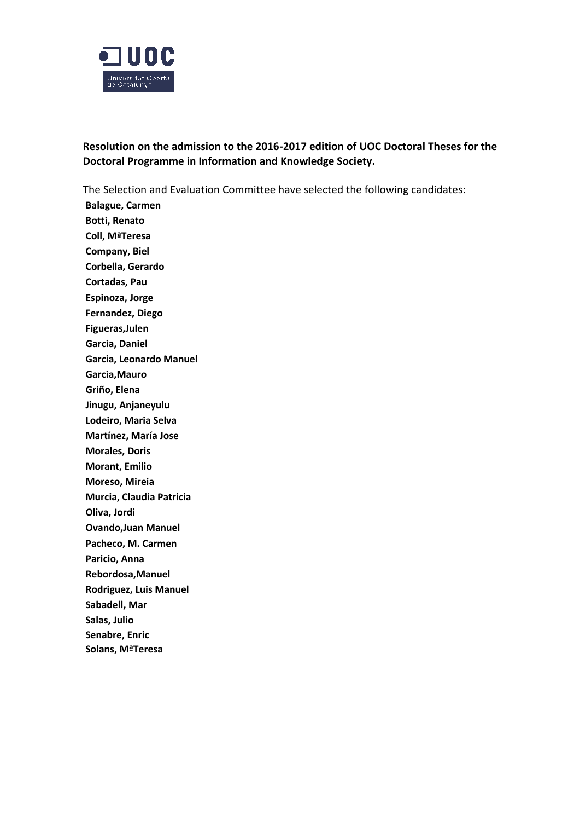

**Resolution on the admission to the 2016-2017 edition of UOC Doctoral Theses for the Doctoral Programme in Information and Knowledge Society.**

The Selection and Evaluation Committee have selected the following candidates:

**Balague, Carmen Botti, Renato Coll, MªTeresa Company, Biel Corbella, Gerardo Cortadas, Pau Espinoza, Jorge Fernandez, Diego Figueras,Julen Garcia, Daniel Garcia, Leonardo Manuel Garcia,Mauro Griño, Elena Jinugu, Anjaneyulu Lodeiro, Maria Selva Martínez, María Jose Morales, Doris Morant, Emilio Moreso, Mireia Murcia, Claudia Patricia Oliva, Jordi Ovando,Juan Manuel Pacheco, M. Carmen Paricio, Anna Rebordosa,Manuel Rodriguez, Luis Manuel Sabadell, Mar Salas, Julio Senabre, Enric Solans, MªTeresa**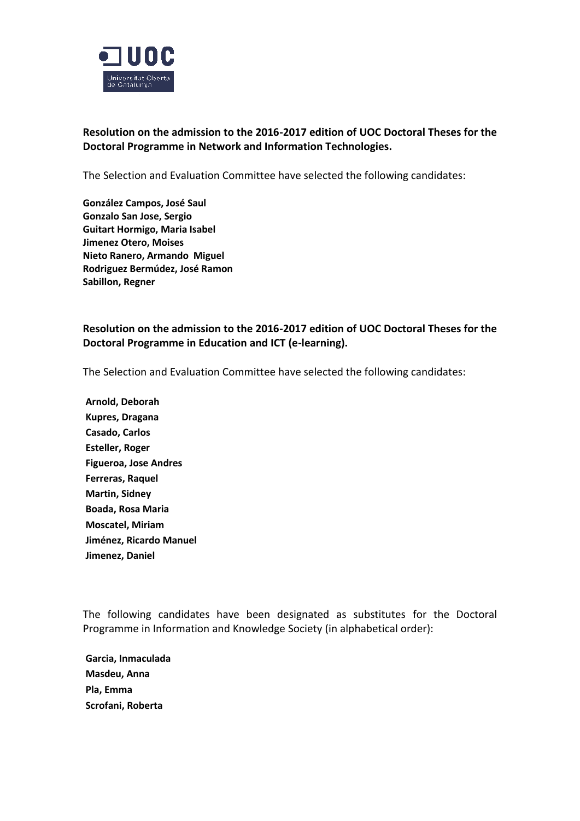

## **Resolution on the admission to the 2016-2017 edition of UOC Doctoral Theses for the Doctoral Programme in Network and Information Technologies.**

The Selection and Evaluation Committee have selected the following candidates:

**González Campos, José Saul Gonzalo San Jose, Sergio Guitart Hormigo, Maria Isabel Jimenez Otero, Moises Nieto Ranero, Armando Miguel Rodriguez Bermúdez, José Ramon Sabillon, Regner**

## **Resolution on the admission to the 2016-2017 edition of UOC Doctoral Theses for the Doctoral Programme in Education and ICT (e-learning).**

The Selection and Evaluation Committee have selected the following candidates:

**Arnold, Deborah Kupres, Dragana Casado, Carlos Esteller, Roger Figueroa, Jose Andres Ferreras, Raquel Martin, Sidney Boada, Rosa Maria Moscatel, Miriam Jiménez, Ricardo Manuel Jimenez, Daniel**

The following candidates have been designated as substitutes for the Doctoral Programme in Information and Knowledge Society (in alphabetical order):

**Garcia, Inmaculada Masdeu, Anna Pla, Emma Scrofani, Roberta**